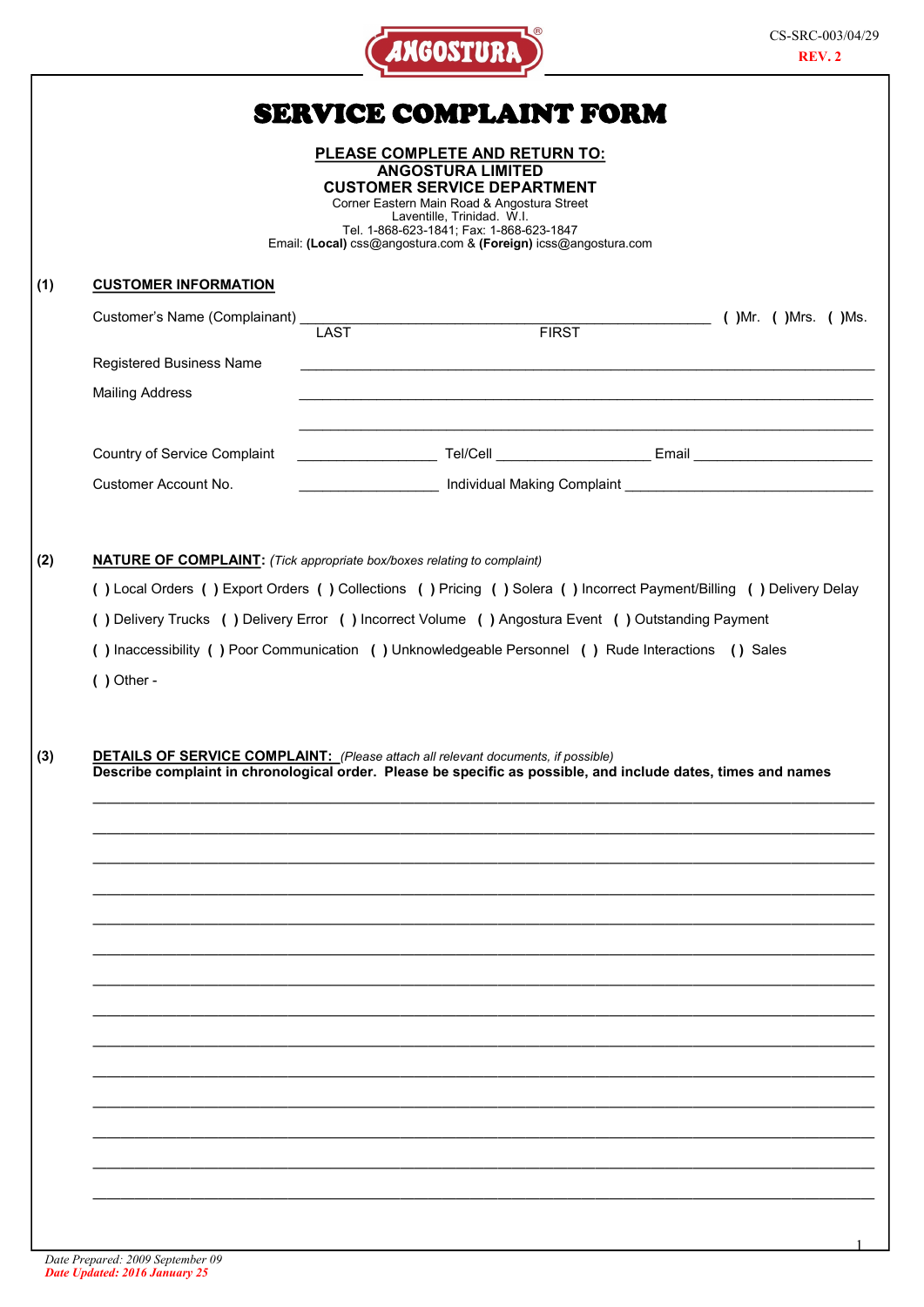| v.<br>w<br>ı.<br>n |
|--------------------|
|--------------------|

|                               | SERVICE COMPLAINT FORM                                                                                                                                                                                                                                                                              |  |  |  |  |  |  |  |
|-------------------------------|-----------------------------------------------------------------------------------------------------------------------------------------------------------------------------------------------------------------------------------------------------------------------------------------------------|--|--|--|--|--|--|--|
|                               | <b>PLEASE COMPLETE AND RETURN TO:</b><br><b>ANGOSTURA LIMITED</b><br><b>CUSTOMER SERVICE DEPARTMENT</b><br>Corner Eastern Main Road & Angostura Street<br>Laventille, Trinidad. W.I.<br>Tel. 1-868-623-1841; Fax: 1-868-623-1847<br>Email: (Local) css@angostura.com & (Foreign) icss@angostura.com |  |  |  |  |  |  |  |
| <b>CUSTOMER INFORMATION</b>   |                                                                                                                                                                                                                                                                                                     |  |  |  |  |  |  |  |
| Customer's Name (Complainant) | FIRST (JMr. (JMrs. (JMs.<br><b>LAST</b>                                                                                                                                                                                                                                                             |  |  |  |  |  |  |  |
| Registered Business Name      | <u> 1989 - Johann John Stone, mars and de format de la provincia de la provincia de la provincia de la provincia</u>                                                                                                                                                                                |  |  |  |  |  |  |  |
| <b>Mailing Address</b>        | <u> 1989 - Johann Stoff, amerikansk politiker (d. 1989)</u>                                                                                                                                                                                                                                         |  |  |  |  |  |  |  |
| Country of Service Complaint  | ___________________________Tel/Cell _________________________Email _________________________________                                                                                                                                                                                                |  |  |  |  |  |  |  |
| Customer Account No.          | _________________________ Individual Making Complaint ___________________________                                                                                                                                                                                                                   |  |  |  |  |  |  |  |
| $( )$ Other -                 | () Inaccessibility () Poor Communication () Unknowledgeable Personnel () Rude Interactions () Sales                                                                                                                                                                                                 |  |  |  |  |  |  |  |
|                               | <b>DETAILS OF SERVICE COMPLAINT:</b> (Please attach all relevant documents, if possible)                                                                                                                                                                                                            |  |  |  |  |  |  |  |
|                               | Describe complaint in chronological order. Please be specific as possible, and include dates, times and names                                                                                                                                                                                       |  |  |  |  |  |  |  |
|                               |                                                                                                                                                                                                                                                                                                     |  |  |  |  |  |  |  |
|                               |                                                                                                                                                                                                                                                                                                     |  |  |  |  |  |  |  |
|                               |                                                                                                                                                                                                                                                                                                     |  |  |  |  |  |  |  |
|                               |                                                                                                                                                                                                                                                                                                     |  |  |  |  |  |  |  |
|                               |                                                                                                                                                                                                                                                                                                     |  |  |  |  |  |  |  |
|                               |                                                                                                                                                                                                                                                                                                     |  |  |  |  |  |  |  |
|                               |                                                                                                                                                                                                                                                                                                     |  |  |  |  |  |  |  |
|                               |                                                                                                                                                                                                                                                                                                     |  |  |  |  |  |  |  |
|                               |                                                                                                                                                                                                                                                                                                     |  |  |  |  |  |  |  |
|                               |                                                                                                                                                                                                                                                                                                     |  |  |  |  |  |  |  |
|                               |                                                                                                                                                                                                                                                                                                     |  |  |  |  |  |  |  |